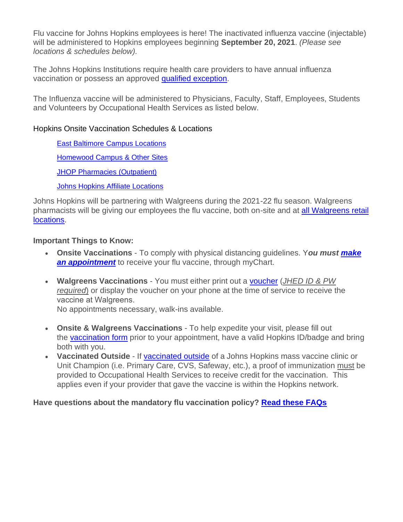Flu vaccine for Johns Hopkins employees is here! The inactivated influenza vaccine (injectable) will be administered to Hopkins employees beginning **September 20, 2021**. *(Please see locations & schedules below).*

The Johns Hopkins Institutions require health care providers to have annual influenza vaccination or possess an approved qualified [exception.](https://www.hopkinsmedicine.org/hse/forms/fluform/exceptions.html)

The Influenza vaccine will be administered to Physicians, Faculty, Staff, Employees, Students and Volunteers by Occupational Health Services as listed below.

## Hopkins Onsite Vaccination Schedules & Locations

East Baltimore Campus [Locations](https://www.hopkinsmedicine.org/hse/occupational_health/east_baltimore_locations2021.pdf)

[Homewood](https://www.hopkinsmedicine.org/hse/occupational_health/eastern_locations2021.pdf) Campus & Other Sites

JHOP [Pharmacies](https://www.hopkinsmedicine.org/hse/occupational_health/jhop_locations2021.pdf) (Outpatient)

Johns Hopkins Affiliate [Locations](https://www.hopkinsmedicine.org/hse/occupational_health/jh_affiliate_locations2021-22.pdf)

Johns Hopkins will be partnering with Walgreens during the 2021-22 flu season. Walgreens pharmacists will be giving our employees the flu vaccine, both on-site and at all [Walgreens](https://www.walgreens.com/storelocator/find.jsp) retail [locations.](https://www.walgreens.com/storelocator/find.jsp)

## **Important Things to Know:**

- **Onsite Vaccinations** To comply with physical distancing guidelines. Y*ou must [make](https://mychart.hopkinsmedicine.org/MyChart/Authentication/Login?postloginurl=inside%2Easp%3F)* **an [appointment](https://mychart.hopkinsmedicine.org/MyChart/Authentication/Login?postloginurl=inside%2Easp%3F)** to receive your flu vaccine, through myChart.
- **Walgreens Vaccinations** You must either print out a [voucher](https://vms.jh.edu/) (*JHED ID & PW required*) or display the voucher on your phone at the time of service to receive the vaccine at Walgreens.

No appointments necessary, walk-ins available.

- **Onsite & Walgreens Vaccinations** To help expedite your visit, please fill out the [vaccination](https://www.hopkinsmedicine.org/hse/forms/fluform/Walgreens_Community_VAR_ENG.pdf) form prior to your appointment, have a valid Hopkins ID/badge and bring both with you.
- **Vaccinated Outside** If [vaccinated](https://www.hopkinsmedicine.org/hse/forms/fluform/selfreporting.html) outside of a Johns Hopkins mass vaccine clinic or Unit Champion (i.e. Primary Care, CVS, Safeway, etc.), a proof of immunization must be provided to Occupational Health Services to receive credit for the vaccination. This applies even if your provider that gave the vaccine is within the Hopkins network.

## **Have questions about the mandatory flu vaccination policy? Read these [FAQs](https://www.hopkinsmedicine.org/hse/occupational_health/Flu_FAQ_2021.pdf)**